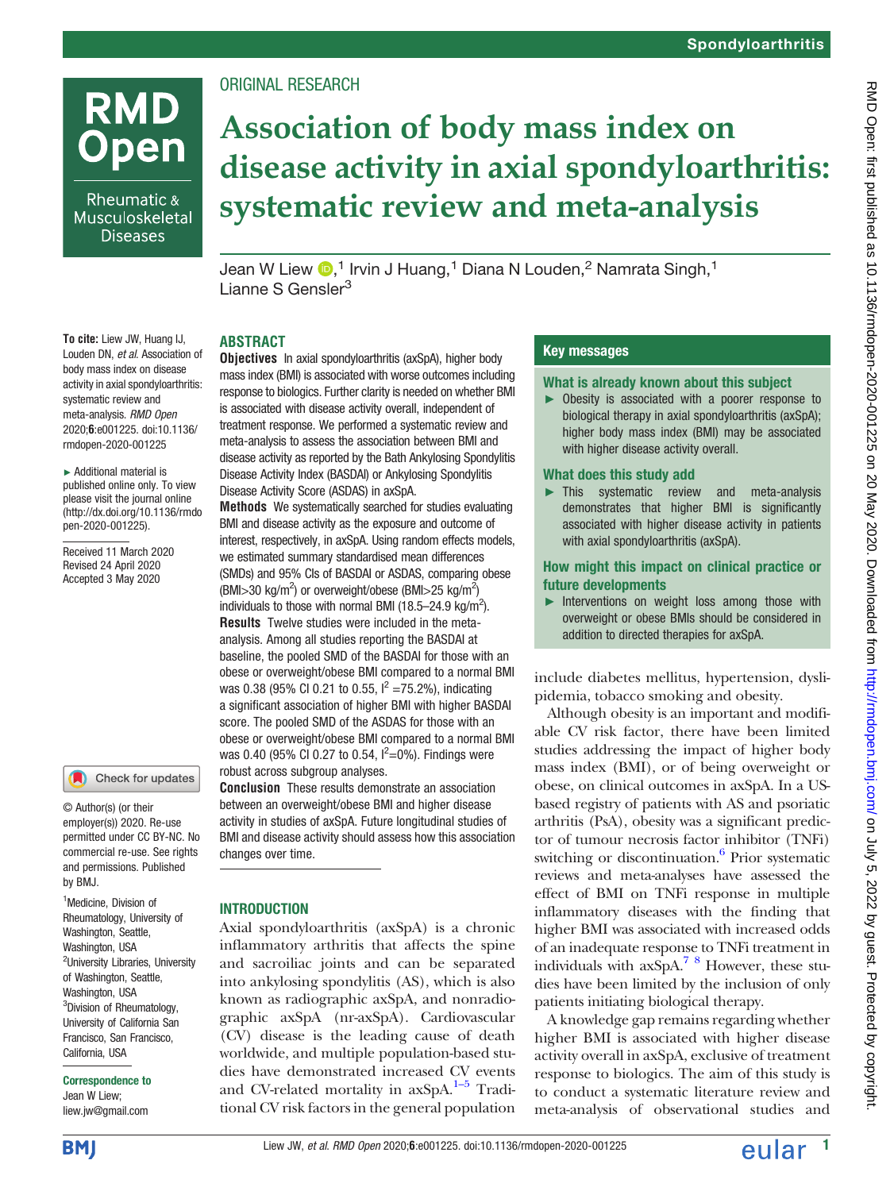# **RMD Open**

Rheumatic & Musculoskeletal **Diseases** 

## ORIGINAL RESEARCH

## Association of body mass index on disease activity in axial spondyloarthritis: systematic review and meta-analysis

Jean W Liew  $\mathbf{D},^1$  Irvin J Huang,<sup>1</sup> Diana N Louden,<sup>2</sup> Namrata Singh,<sup>1</sup> Lianne S Gensler<sup>3</sup>

## ABSTRACT

To cite: Liew JW, Huang IJ, Louden DN, et al. Association of body mass index on disease activity in axial spondyloarthritis: systematic review and meta-analysis. RMD Open 2020;6:e001225. doi:10.1136/ rmdopen-2020-001225

► Additional material is published online only. To view please visit the journal online ([http://dx.doi.org/10.1136/rmdo](http://dx.doi.org/10.1136/rmdopen-2020-001225) [pen-2020-001225](http://dx.doi.org/10.1136/rmdopen-2020-001225)).

Received 11 March 2020 Revised 24 April 2020 Accepted 3 May 2020

#### Check for updates

© Author(s) (or their employer(s)) 2020. Re-use permitted under CC BY-NC. No commercial re-use. See rights and permissions. Published by BMJ.

<sup>1</sup>Medicine, Division of Rheumatology, University of Washington, Seattle, Washington, USA <sup>2</sup>University Libraries, University of Washington, Seattle, Washington, USA <sup>3</sup>Division of Rheumatology, University of California San Francisco, San Francisco, California, USA

#### Correspondence to

Jean W Liew; [liew.jw@gmail.com](mailto:liew.jw@gmail.com)

Objectives In axial spondyloarthritis (axSpA), higher body mass index (BMI) is associated with worse outcomes including response to biologics. Further clarity is needed on whether BMI is associated with disease activity overall, independent of treatment response. We performed a systematic review and meta-analysis to assess the association between BMI and disease activity as reported by the Bath Ankylosing Spondylitis Disease Activity Index (BASDAI) or Ankylosing Spondylitis Disease Activity Score (ASDAS) in axSpA.

Methods We systematically searched for studies evaluating BMI and disease activity as the exposure and outcome of interest, respectively, in axSpA. Using random effects models, we estimated summary standardised mean differences (SMDs) and 95% CIs of BASDAI or ASDAS, comparing obese  $(BMI > 30 \text{ kg/m}^2)$  or overweight/obese  $(BMI > 25 \text{ kg/m}^2)$ individuals to those with normal BMI  $(18.5-24.9 \text{ kg/m}^2)$ . Results Twelve studies were included in the metaanalysis. Among all studies reporting the BASDAI at baseline, the pooled SMD of the BASDAI for those with an obese or overweight/obese BMI compared to a normal BMI was 0.38 (95% CI 0.21 to 0.55,  $I^2 = 75.2$ %), indicating a significant association of higher BMI with higher BASDAI score. The pooled SMD of the ASDAS for those with an obese or overweight/obese BMI compared to a normal BMI was 0.40 (95% CI 0.27 to 0.54,  $I^2=0$ %). Findings were robust across subgroup analyses.

Conclusion These results demonstrate an association between an overweight/obese BMI and higher disease activity in studies of axSpA. Future longitudinal studies of BMI and disease activity should assess how this association changes over time.

## **INTRODUCTION**

Axial spondyloarthritis (axSpA) is a chronic inflammatory arthritis that affects the spine and sacroiliac joints and can be separated into ankylosing spondylitis (AS), which is also known as radiographic axSpA, and nonradiographic axSpA (nr-axSpA). Cardiovascular (CV) disease is the leading cause of death worldwide, and multiple population-based studies have demonstrated increased CV events and CV-related mortality in  $axSpA$ <sup>[1](#page-10-0)-[5](#page-10-1)</sup> Traditional CV risk factors in the general population

## Key messages

## What is already known about this subject

► Obesity is associated with a poorer response to biological therapy in axial spondyloarthritis (axSpA); higher body mass index (BMI) may be associated with higher disease activity overall.

## What does this study add

► This systematic review and meta-analysis demonstrates that higher BMI is significantly associated with higher disease activity in patients with axial spondyloarthritis (axSpA).

## How might this impact on clinical practice or future developments

► Interventions on weight loss among those with overweight or obese BMIs should be considered in addition to directed therapies for axSpA.

include diabetes mellitus, hypertension, dyslipidemia, tobacco smoking and obesity.

Although obesity is an important and modifiable CV risk factor, there have been limited studies addressing the impact of higher body mass index (BMI), or of being overweight or obese, on clinical outcomes in axSpA. In a USbased registry of patients with AS and psoriatic arthritis (PsA), obesity was a significant predictor of tumour necrosis factor inhibitor (TNFi) switching or discontinuation.<sup>6</sup> Prior systematic reviews and meta-analyses have assessed the effect of BMI on TNFi response in multiple inflammatory diseases with the finding that higher BMI was associated with increased odds of an inadequate response to TNFi treatment in individuals with axSpA[.7 8](#page-10-3) However, these studies have been limited by the inclusion of only patients initiating biological therapy.

A knowledge gap remains regarding whether higher BMI is associated with higher disease activity overall in axSpA, exclusive of treatment response to biologics. The aim of this study is to conduct a systematic literature review and meta-analysis of observational studies and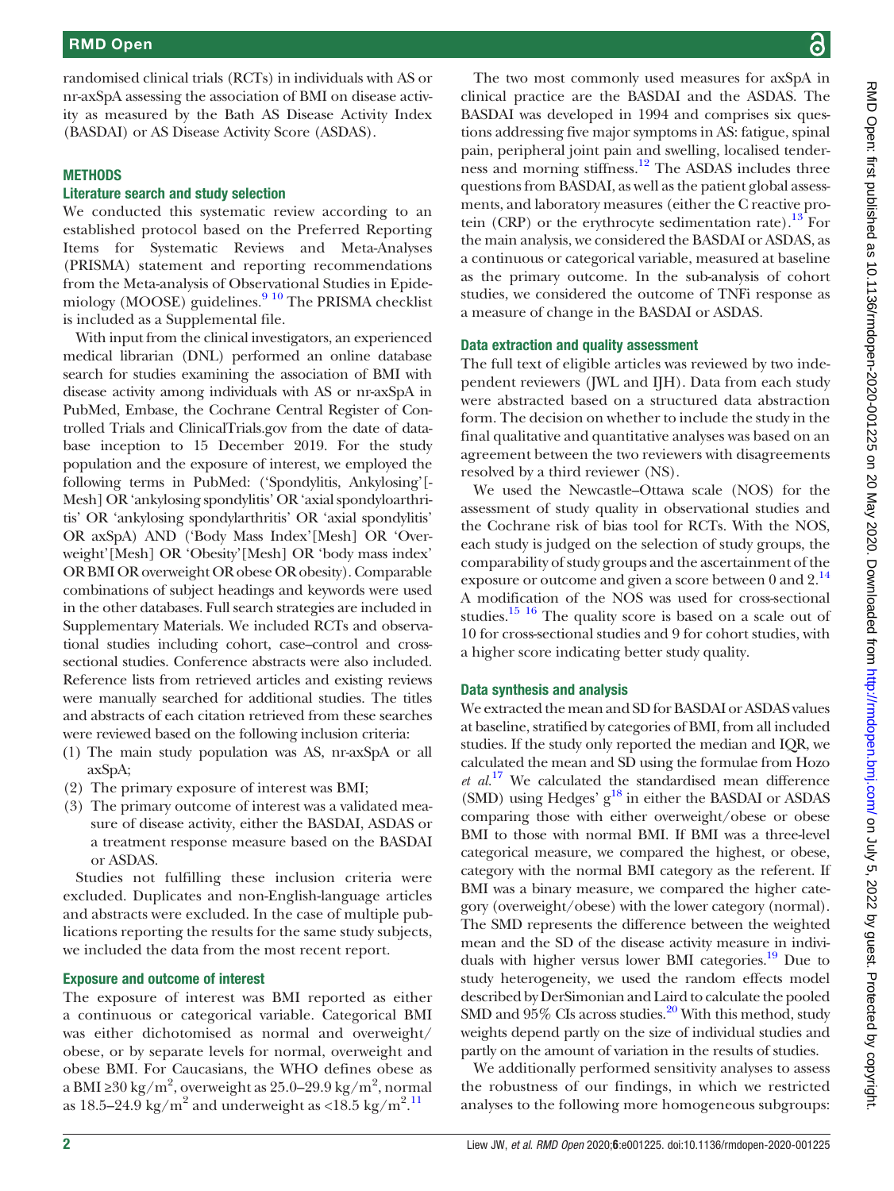randomised clinical trials (RCTs) in individuals with AS or nr-axSpA assessing the association of BMI on disease activity as measured by the Bath AS Disease Activity Index (BASDAI) or AS Disease Activity Score (ASDAS).

#### **METHODS**

#### Literature search and study selection

We conducted this systematic review according to an established protocol based on the Preferred Reporting Items for Systematic Reviews and Meta-Analyses (PRISMA) statement and reporting recommendations from the Meta-analysis of Observational Studies in Epidemiology (MOOSE) guidelines.<sup>9</sup> <sup>10</sup> The PRISMA checklist is included as a [Supplemental file.](https://dx.doi.org/10.1136/rmdopen-2020-001225)

With input from the clinical investigators, an experienced medical librarian (DNL) performed an online database search for studies examining the association of BMI with disease activity among individuals with AS or nr-axSpA in PubMed, Embase, the Cochrane Central Register of Controlled Trials and ClinicalTrials.gov from the date of database inception to 15 December 2019. For the study population and the exposure of interest, we employed the following terms in PubMed: ('Spondylitis, Ankylosing'[- Mesh] OR'ankylosing spondylitis' OR'axial spondyloarthritis' OR 'ankylosing spondylarthritis' OR 'axial spondylitis' OR axSpA) AND ('Body Mass Index'[Mesh] OR 'Overweight'[Mesh] OR 'Obesity'[Mesh] OR 'body mass index' OR BMI OR overweight OR obese OR obesity). Comparable combinations of subject headings and keywords were used in the other databases. Full search strategies are included in [Supplementary Materials.](https://dx.doi.org/10.1136/rmdopen-2020-001225) We included RCTs and observational studies including cohort, case–control and crosssectional studies. Conference abstracts were also included. Reference lists from retrieved articles and existing reviews were manually searched for additional studies. The titles and abstracts of each citation retrieved from these searches were reviewed based on the following inclusion criteria:

- (1) The main study population was AS, nr-axSpA or all axSpA;
- (2) The primary exposure of interest was BMI;
- (3) The primary outcome of interest was a validated measure of disease activity, either the BASDAI, ASDAS or a treatment response measure based on the BASDAI or ASDAS.

Studies not fulfilling these inclusion criteria were excluded. Duplicates and non-English-language articles and abstracts were excluded. In the case of multiple publications reporting the results for the same study subjects, we included the data from the most recent report.

#### Exposure and outcome of interest

The exposure of interest was BMI reported as either a continuous or categorical variable. Categorical BMI was either dichotomised as normal and overweight/ obese, or by separate levels for normal, overweight and obese BMI. For Caucasians, the WHO defines obese as a BMI ≥ $30$  kg/m $^2$ , overweight as 25.0–29.9 kg/m $^2$ , normal as  $18.5-24.9$  kg/m<sup>2</sup> and underweight as <18.5 kg/m<sup>2</sup>.<sup>[11](#page-10-5)</sup>

The two most commonly used measures for axSpA in clinical practice are the BASDAI and the ASDAS. The BASDAI was developed in 1994 and comprises six questions addressing five major symptoms in AS: fatigue, spinal pain, peripheral joint pain and swelling, localised tenderness and morning stiffness.<sup>12</sup> The ASDAS includes three questions from BASDAI, as well as the patient global assessments, and laboratory measures (either the C reactive protein (CRP) or the erythrocyte sedimentation rate).<sup>13</sup> For the main analysis, we considered the BASDAI or ASDAS, as a continuous or categorical variable, measured at baseline as the primary outcome. In the sub-analysis of cohort studies, we considered the outcome of TNFi response as a measure of change in the BASDAI or ASDAS.

#### Data extraction and quality assessment

The full text of eligible articles was reviewed by two independent reviewers (JWL and IJH). Data from each study were abstracted based on a structured data abstraction form. The decision on whether to include the study in the final qualitative and quantitative analyses was based on an agreement between the two reviewers with disagreements resolved by a third reviewer (NS).

We used the Newcastle–Ottawa scale (NOS) for the assessment of study quality in observational studies and the Cochrane risk of bias tool for RCTs. With the NOS, each study is judged on the selection of study groups, the comparability of study groups and the ascertainment of the exposure or outcome and given a score between 0 and  $2<sup>14</sup>$  $2<sup>14</sup>$  $2<sup>14</sup>$ A modification of the NOS was used for cross-sectional studies.<sup>[15 16](#page-10-9)</sup> The quality score is based on a scale out of 10 for cross-sectional studies and 9 for cohort studies, with a higher score indicating better study quality.

#### Data synthesis and analysis

We extracted the mean and SD for BASDAI or ASDAS values at baseline, stratified by categories of BMI, from all included studies. If the study only reported the median and IQR, we calculated the mean and SD using the formulae from Hozo  $et \ al^{17}$  $et \ al^{17}$  $et \ al^{17}$  We calculated the standardised mean difference (SMD) using Hedges'  $g^{18}$  in either the BASDAI or ASDAS comparing those with either overweight/obese or obese BMI to those with normal BMI. If BMI was a three-level categorical measure, we compared the highest, or obese, category with the normal BMI category as the referent. If BMI was a binary measure, we compared the higher category (overweight/obese) with the lower category (normal). The SMD represents the difference between the weighted mean and the SD of the disease activity measure in individuals with higher versus lower BMI categories.<sup>19</sup> Due to study heterogeneity, we used the random effects model described by DerSimonian and Laird to calculate the pooled SMD and  $95\%$  CIs across studies.<sup>20</sup> With this method, study weights depend partly on the size of individual studies and partly on the amount of variation in the results of studies.

We additionally performed sensitivity analyses to assess the robustness of our findings, in which we restricted analyses to the following more homogeneous subgroups: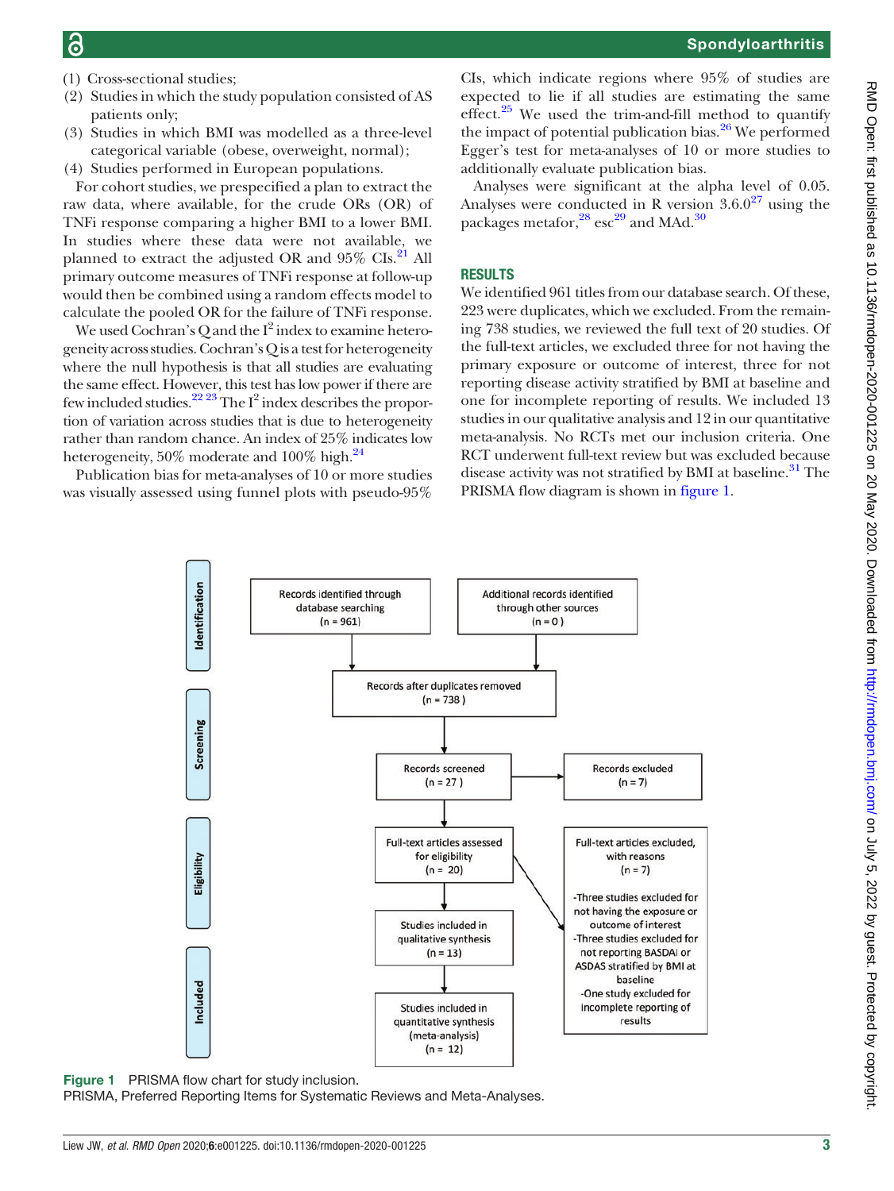- (1) Cross-sectional studies;
- (2) Studies in which the study population consisted of AS patients only;
- (3) Studies in which BMI was modelled as a three-level categorical variable (obese, overweight, normal);
- (4) Studies performed in European populations.

For cohort studies, we prespecified a plan to extract the raw data, where available, for the crude ORs (OR) of TNFi response comparing a higher BMI to a lower BMI. In studies where these data were not available, we planned to extract the adjusted OR and  $95\%$  CIs.<sup>[21](#page-11-4)</sup> All primary outcome measures of TNFi response at follow-up would then be combined using a random effects model to calculate the pooled OR for the failure of TNFi response.

We used Cochran's Q and the  $I^2$  index to examine heterogeneity across studies. Cochran's Q is a test for heterogeneity where the null hypothesis is that all studies are evaluating the same effect. However, this test has low power if there are few included studies.<sup>[22 23](#page-11-5)</sup> The I<sup>2</sup> index describes the proportion of variation across studies that is due to heterogeneity rather than random chance. An index of 25% indicates low heterogeneity, 50% moderate and 100% high.<sup>24</sup>

<span id="page-2-0"></span>Publication bias for meta-analyses of 10 or more studies was visually assessed using funnel plots with pseudo-95%

CIs, which indicate regions where 95% of studies are expected to lie if all studies are estimating the same

effect.<sup>[25](#page-11-7)</sup> We used the trim-and-fill method to quantify the impact of potential publication bias. $^{26}$  $^{26}$  $^{26}$  We performed Egger's test for meta-analyses of 10 or more studies to additionally evaluate publication bias. Analyses were significant at the alpha level of 0.05.

Analyses were conducted in R version  $3.6.0^{27}$  $3.6.0^{27}$  $3.6.0^{27}$  using the packages metafor,  $^{28}$  $^{28}$  $^{28}$  esc<sup>[29](#page-11-11)</sup> and MAd.<sup>[30](#page-11-12)</sup>

#### RESULTS

We identified 961 titles from our database search. Of these, 223 were duplicates, which we excluded. From the remaining 738 studies, we reviewed the full text of 20 studies. Of the full-text articles, we excluded three for not having the primary exposure or outcome of interest, three for not reporting disease activity stratified by BMI at baseline and one for incomplete reporting of results. We included 13 studies in our qualitative analysis and 12 in our quantitative meta-analysis. No RCTs met our inclusion criteria. One RCT underwent full-text review but was excluded because disease activity was not stratified by BMI at baseline.<sup>[31](#page-11-13)</sup> The PRISMA flow diagram is shown in [figure 1.](#page-2-0)



Figure 1 PRISMA flow chart for study inclusion.

PRISMA, Preferred Reporting Items for Systematic Reviews and Meta-Analyses.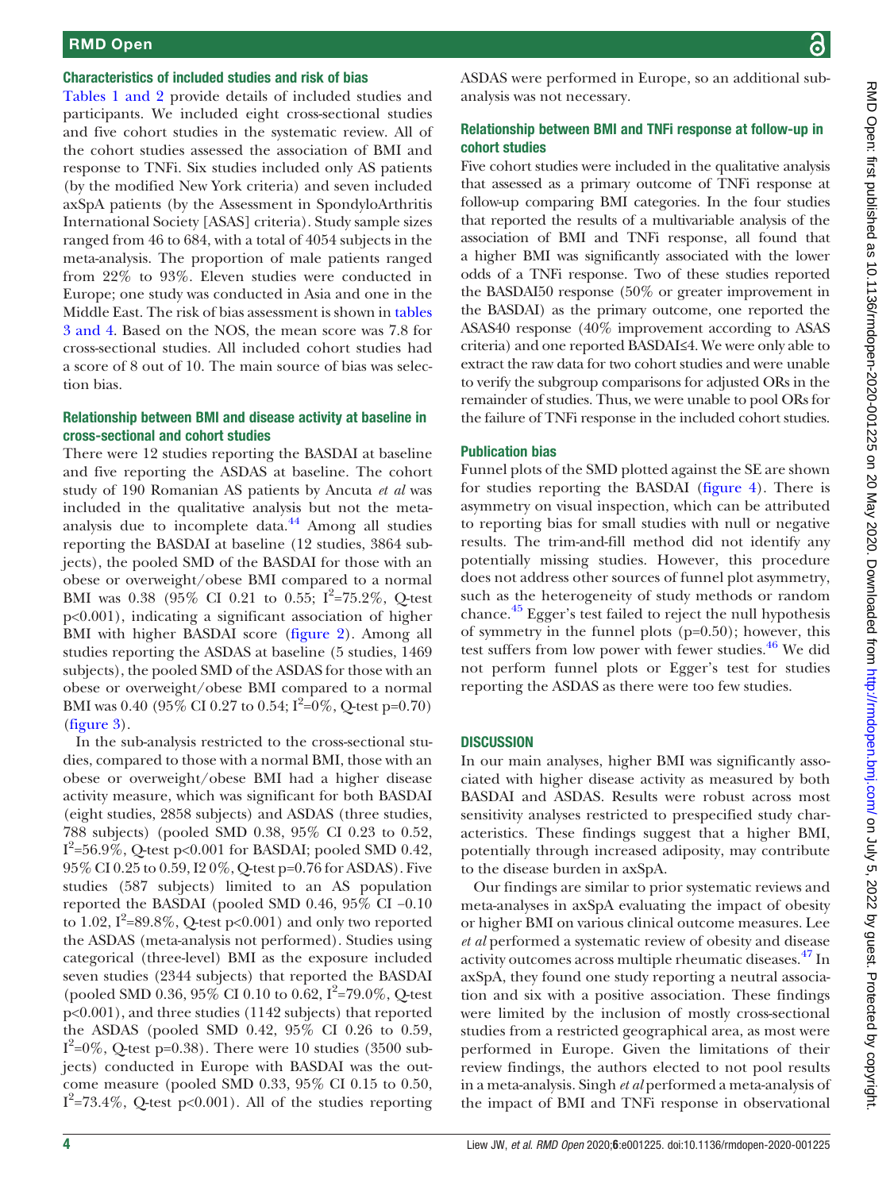## RMD Open

#### Characteristics of included studies and risk of bias

[Tables 1 and 2](#page-4-0) provide details of included studies and participants. We included eight cross-sectional studies and five cohort studies in the systematic review. All of the cohort studies assessed the association of BMI and response to TNFi. Six studies included only AS patients (by the modified New York criteria) and seven included axSpA patients (by the Assessment in SpondyloArthritis International Society [ASAS] criteria). Study sample sizes ranged from 46 to 684, with a total of 4054 subjects in the meta-analysis. The proportion of male patients ranged from 22% to 93%. Eleven studies were conducted in Europe; one study was conducted in Asia and one in the Middle East. The risk of bias assessment is shown in [tables](#page-7-0) [3 and 4.](#page-7-0) Based on the NOS, the mean score was 7.8 for cross-sectional studies. All included cohort studies had a score of 8 out of 10. The main source of bias was selection bias.

#### Relationship between BMI and disease activity at baseline in cross-sectional and cohort studies

There were 12 studies reporting the BASDAI at baseline and five reporting the ASDAS at baseline. The cohort study of 190 Romanian AS patients by Ancuta et al was included in the qualitative analysis but not the metaanalysis due to incomplete data. $44$  Among all studies reporting the BASDAI at baseline (12 studies, 3864 subjects), the pooled SMD of the BASDAI for those with an obese or overweight/obese BMI compared to a normal BMI was 0.38 (95% CI 0.21 to 0.55;  $I^2 = 75.2\%$ , Q-test p<0.001), indicating a significant association of higher BMI with higher BASDAI score ([figure 2\)](#page-9-0). Among all studies reporting the ASDAS at baseline (5 studies, 1469 subjects), the pooled SMD of the ASDAS for those with an obese or overweight/obese BMI compared to a normal BMI was 0.40 (95% CI 0.27 to 0.54;  $I^2=0\%$ , Q-test p=0.70) [\(figure 3](#page-9-1)).

In the sub-analysis restricted to the cross-sectional studies, compared to those with a normal BMI, those with an obese or overweight/obese BMI had a higher disease activity measure, which was significant for both BASDAI (eight studies, 2858 subjects) and ASDAS (three studies, 788 subjects) (pooled SMD 0.38, 95% CI 0.23 to 0.52,  $I^2$ =56.9%, Q-test p<0.001 for BASDAI; pooled SMD 0.42, 95% CI 0.25 to 0.59, I2 0%, Q-test p=0.76 for ASDAS). Five studies (587 subjects) limited to an AS population reported the BASDAI (pooled SMD 0.46, 95% CI −0.10 to 1.02,  $I^2$ =89.8%, Q-test p<0.001) and only two reported the ASDAS (meta-analysis not performed). Studies using categorical (three-level) BMI as the exposure included seven studies (2344 subjects) that reported the BASDAI (pooled SMD 0.36, 95% CI 0.10 to 0.62,  $I^2 = 79.0\%$ , Q-test p<0.001), and three studies (1142 subjects) that reported the ASDAS (pooled SMD 0.42, 95% CI 0.26 to 0.59,  $I^2$ =0%, Q-test p=0.38). There were 10 studies (3500 subjects) conducted in Europe with BASDAI was the outcome measure (pooled SMD 0.33, 95% CI 0.15 to 0.50,  $I^2$ =73.4%, Q-test p<0.001). All of the studies reporting

ASDAS were performed in Europe, so an additional subanalysis was not necessary.

## Relationship between BMI and TNFi response at follow-up in cohort studies

Five cohort studies were included in the qualitative analysis that assessed as a primary outcome of TNFi response at follow-up comparing BMI categories. In the four studies that reported the results of a multivariable analysis of the association of BMI and TNFi response, all found that a higher BMI was significantly associated with the lower odds of a TNFi response. Two of these studies reported the BASDAI50 response (50% or greater improvement in the BASDAI) as the primary outcome, one reported the ASAS40 response (40% improvement according to ASAS criteria) and one reported BASDAI≤4. We were only able to extract the raw data for two cohort studies and were unable to verify the subgroup comparisons for adjusted ORs in the remainder of studies. Thus, we were unable to pool ORs for the failure of TNFi response in the included cohort studies.

## Publication bias

Funnel plots of the SMD plotted against the SE are shown for studies reporting the BASDAI [\(figure 4](#page-10-10)). There is asymmetry on visual inspection, which can be attributed to reporting bias for small studies with null or negative results. The trim-and-fill method did not identify any potentially missing studies. However, this procedure does not address other sources of funnel plot asymmetry, such as the heterogeneity of study methods or random chance.[45](#page-11-15) Egger's test failed to reject the null hypothesis of symmetry in the funnel plots (p=0.50); however, this test suffers from low power with fewer studies.<sup>[46](#page-11-16)</sup> We did not perform funnel plots or Egger's test for studies reporting the ASDAS as there were too few studies.

## **DISCUSSION**

In our main analyses, higher BMI was significantly associated with higher disease activity as measured by both BASDAI and ASDAS. Results were robust across most sensitivity analyses restricted to prespecified study characteristics. These findings suggest that a higher BMI, potentially through increased adiposity, may contribute to the disease burden in axSpA.

Our findings are similar to prior systematic reviews and meta-analyses in axSpA evaluating the impact of obesity or higher BMI on various clinical outcome measures. Lee et al performed a systematic review of obesity and disease activity outcomes across multiple rheumatic diseases.<sup>[47](#page-11-17)</sup> In axSpA, they found one study reporting a neutral association and six with a positive association. These findings were limited by the inclusion of mostly cross-sectional studies from a restricted geographical area, as most were performed in Europe. Given the limitations of their review findings, the authors elected to not pool results in a meta-analysis. Singh et al performed a meta-analysis of the impact of BMI and TNFi response in observational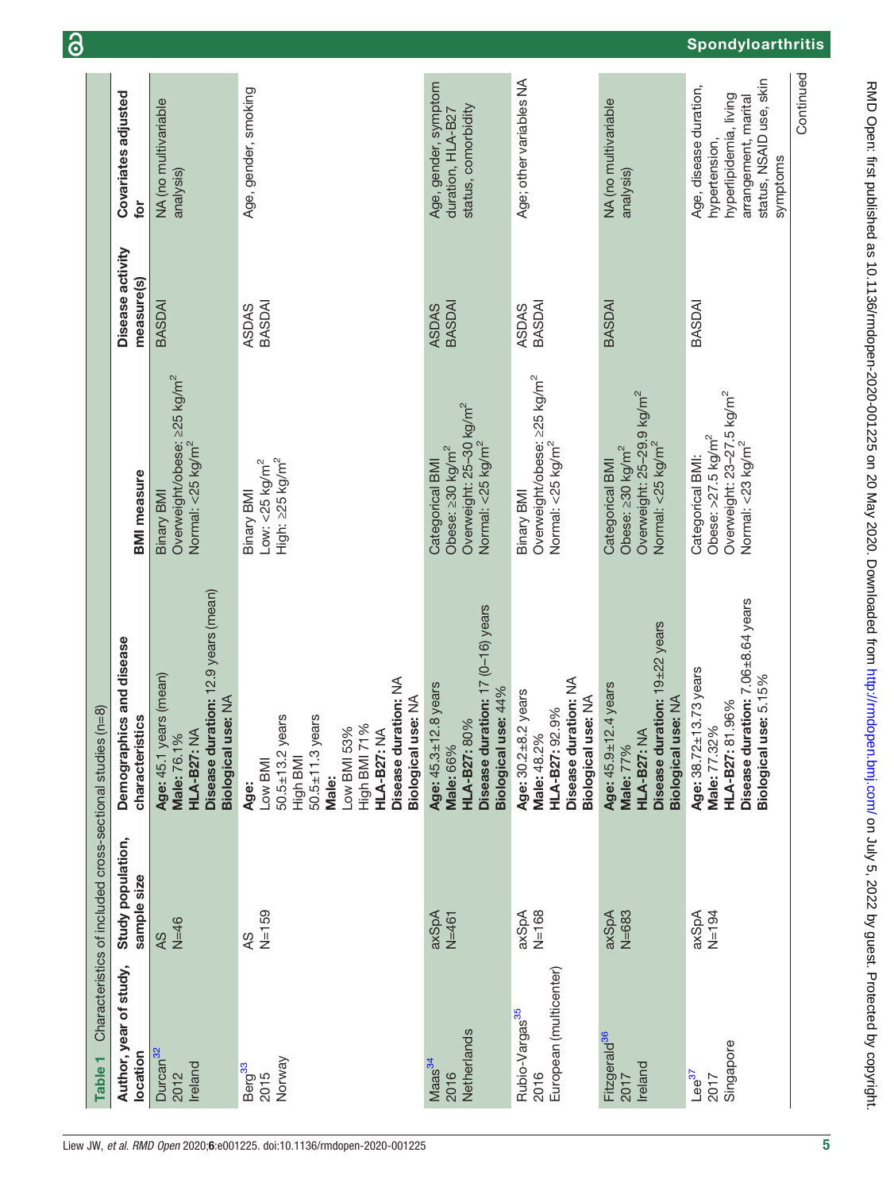<span id="page-4-0"></span>

| Table <sub>1</sub>                                           | Characteristics of included cross-sectional studies | $(n=8)$                                                                                                                                                                                   |                                                                                                                                |                                |                                                                                                                                  |
|--------------------------------------------------------------|-----------------------------------------------------|-------------------------------------------------------------------------------------------------------------------------------------------------------------------------------------------|--------------------------------------------------------------------------------------------------------------------------------|--------------------------------|----------------------------------------------------------------------------------------------------------------------------------|
| Author, year of study,<br>location                           | Study population,<br>sample size                    | Demographics and disease<br>characteristics                                                                                                                                               | <b>BMI</b> measure                                                                                                             | Disease activity<br>measure(s) | Covariates adjusted<br>tor                                                                                                       |
| Durcan <sup>32</sup><br>Ireland<br>2012                      | $N=46$<br>AS                                        | Disease duration: 12.9 years (mean)<br>Age: 45.1 years (mean)<br>Biological use: NA<br><b>HLA-B27: NA</b><br>Male: 76.1%                                                                  | Overweight/obese: ≥25 kg/m <sup>2</sup><br>Normal: <25 kg/m <sup>2</sup><br>Binary BMI                                         | BASDAI                         | NA (no multivariable<br>analysis)                                                                                                |
| Norway<br>Berg <sup>33</sup><br>2015                         | $N = 159$<br><b>AS</b>                              | Disease duration: NA<br>Biological use: NA<br>$50.5 \pm 13.2$ years<br>$50.5 \pm 11.3$ years<br>High BMI 71%<br>Low BMI 53%<br>HLA-B27: NA<br>High BMI<br>Low BMI<br><b>Male:</b><br>Age: | High: $\geq$ 25 kg/m <sup>2</sup><br>Low: $<$ 25 kg/m <sup>2</sup><br>Binary BMI                                               | BASDAI<br><b>ASDAS</b>         | Age, gender, smoking                                                                                                             |
| Netherlands<br>Maas <sup>34</sup><br>2016                    | axSpA<br>$N=461$                                    | Disease duration: 17 (0-16) years<br>Age: 45.3±12.8 years<br>Biological use: 44%<br>HLA-B27: 80%<br><b>Male: 66%</b>                                                                      | Overweight: 25–30 kg/m <sup>2</sup><br>Normal: <25 kg/m <sup>2</sup><br>Obese: ≥30 kg/m <sup>2</sup><br>Categorical BMI        | BASDAI<br><b>ASDAS</b>         | Age, gender, symptom<br>status, comorbidity<br>duration, HLA-B27                                                                 |
| European (multicenter)<br>Rubio-Vargas <sup>35</sup><br>2016 | $N = 168$<br>axSpA                                  | Disease duration: NA<br>2 years<br>Biological use: NA<br>HLA-B27: 92.9%<br>Age: $30.2 + 8$<br>Male: 48.2%                                                                                 | Overweight/obese: ≥25 kg/m <sup>2</sup><br>Normal: <25 kg/m <sup>2</sup><br>Binary BMI                                         | BASDAI<br><b>ASDAS</b>         | Age; other variables NA                                                                                                          |
| Fitzgerald <sup>36</sup><br>Ireland<br>2017                  | $N = 683$<br>axSpA                                  | Disease duration: 19±22 years<br>Age: 45.9±12.4 years<br>Biological use: NA<br>HLA-B27: NA<br>Male: 77%                                                                                   | Overweight: 25-29.9 kg/m <sup>2</sup><br>Normal: <25 kg/m <sup>2</sup><br>Obese: 230 kg/m <sup>2</sup><br>Categorical BMI      | BASDAI                         | NA (no multivariable<br>analysis)                                                                                                |
| Singapore<br>$Lee^{37}$<br>2017                              | $N = 194$<br>axSpA                                  | Disease duration: 7.06±8.64 years<br>Age: 38.72±13.73 years<br>Biological use: 5.15%<br>1.96%<br>Male: 77.32%<br><b>HLA-B27: 81</b>                                                       | Overweight: 23–27.5 kg/m <sup>2</sup><br>Normal: <23 kg/m <sup>2</sup><br>Obese: $>27.5$ kg/m <sup>2</sup><br>Categorical BMI: | BASDAI                         | status, NSAID use, skin<br>Age, disease duration,<br>hyperlipidemia, living<br>arrangement, marital<br>hypertension,<br>symptoms |
|                                                              |                                                     |                                                                                                                                                                                           |                                                                                                                                |                                | Continued                                                                                                                        |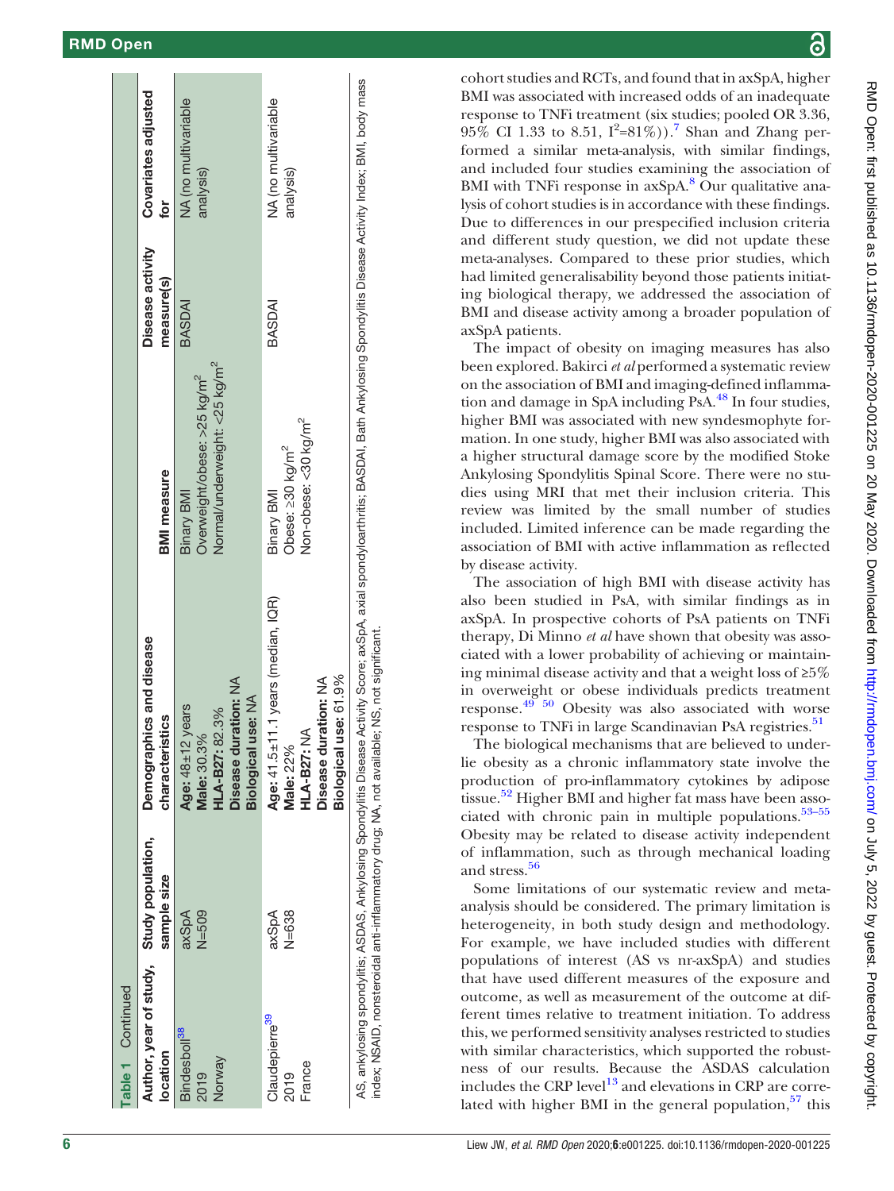| Table 1 Continued                                    |                    |                                                                                                                                                                                                                                                                                     |                                                                                                           |                                |                                   |
|------------------------------------------------------|--------------------|-------------------------------------------------------------------------------------------------------------------------------------------------------------------------------------------------------------------------------------------------------------------------------------|-----------------------------------------------------------------------------------------------------------|--------------------------------|-----------------------------------|
| Author, year of study, Study population,<br>location | sample size        | Demographics and disease<br>characteristics                                                                                                                                                                                                                                         | <b>BMI</b> measure                                                                                        | Disease activity<br>measure(s) | Covariates adjusted<br>for        |
| Bindesboll <sup>38</sup><br>Norway<br>2019           | $N = 509$<br>axSpA | Disease duration: NA<br>Biological use: NA<br>Age: $48 \pm 12$ years<br>HLA-B27: 82.3%<br>Male: 30.3%                                                                                                                                                                               | Normal/underweight: <25 kg/m <sup>2</sup><br>Overweight/obese: >25 kg/m <sup>2</sup><br><b>Binary BMI</b> | BASDAI                         | NA (no multivariable<br>analysis) |
| Claudepierre <sup>39</sup><br>France<br>2019         | axSpA<br>$N = 638$ | Age: $41.5 \pm 11.1$ years (median, IQR)<br>use: 61.9%<br>Disease duration: NA<br>HLA-B27: NA<br>Male: 22%<br><b>Biological</b>                                                                                                                                                     | Non-obese: <30 kg/m <sup>2</sup><br>Obese: ≥30 kg/m <sup>2</sup><br><b>Binary BMI</b>                     | BASDAI                         | NA (no multivariable<br>analysis) |
|                                                      |                    | AS, ankylosing spondylitis; AGDAS, Ankylosing Spondylitis Disease Activity Score; axial spondyloarthritis; BASDAI, Bath Ankylosing Spondylitis Disease Activity Index; BMI, body mass<br>index; NSAID, nonsteroidal anti-inflammatory drug; NA, not available; NS, not significant. |                                                                                                           |                                |                                   |

cohort studies and RCTs, and found that in axSpA, higher BMI was associated with increased odds of an inadequate response to TNFi treatment (six studies; pooled OR 3.36,  $95\%$  CI 1.33 to 8.51,  $I^2 = 81\%)$ . Shan and Zhang performed a similar meta-analysis, with similar findings, and included four studies examining the association of BMI with TNFi response in axSpA.<sup>[8](#page-10-11)</sup> Our qualitative analysis of cohort studies is in accordance with these findings. Due to differences in our prespecified inclusion criteria and different study question, we did not update these meta-analyses. Compared to these prior studies, which had limited generalisability beyond those patients initiating biological therapy, we addressed the association of BMI and disease activity among a broader population of axSpA patients.

The impact of obesity on imaging measures has also been explored. Bakirci et al performed a systematic review on the association of BMI and imaging-defined inflammation and damage in SpA including PsA.<sup>48</sup> In four studies, higher BMI was associated with new syndesmophyte formation. In one study, higher BMI was also associated with a higher structural damage score by the modified Stoke Ankylosing Spondylitis Spinal Score. There were no studies using MRI that met their inclusion criteria. This review was limited by the small number of studies included. Limited inference can be made regarding the association of BMI with active inflammation as reflected by disease activity.

The association of high BMI with disease activity has also been studied in PsA, with similar findings as in axSpA. In prospective cohorts of PsA patients on TNFi therapy, Di Minno et al have shown that obesity was associated with a lower probability of achieving or maintaining minimal disease activity and that a weight loss of ≥5% in overweight or obese individuals predicts treatment response.[49 50](#page-11-25) Obesity was also associated with worse response to TNFi in large Scandinavian PsA registries.<sup>51</sup>

The biological mechanisms that are believed to underlie obesity as a chronic inflammatory state involve the production of pro-inflammatory cytokines by adipose tissue.<sup>[52](#page-11-27)</sup> Higher BMI and higher fat mass have been associated with chronic pain in multiple populations. $53-55$  $53-55$  $53-55$ Obesity may be related to disease activity independent of inflammation, such as through mechanical loading and stress.<sup>[56](#page-11-30)</sup>

Some limitations of our systematic review and metaanalysis should be considered. The primary limitation is heterogeneity, in both study design and methodology. For example, we have included studies with different populations of interest (AS vs nr-axSpA) and studies that have used different measures of the exposure and outcome, as well as measurement of the outcome at different times relative to treatment initiation. To address this, we performed sensitivity analyses restricted to studies with similar characteristics, which supported the robustness of our results. Because the ASDAS calculation includes the CRP level<sup>[13](#page-10-7)</sup> and elevations in CRP are correlated with higher BMI in the general population, 57 this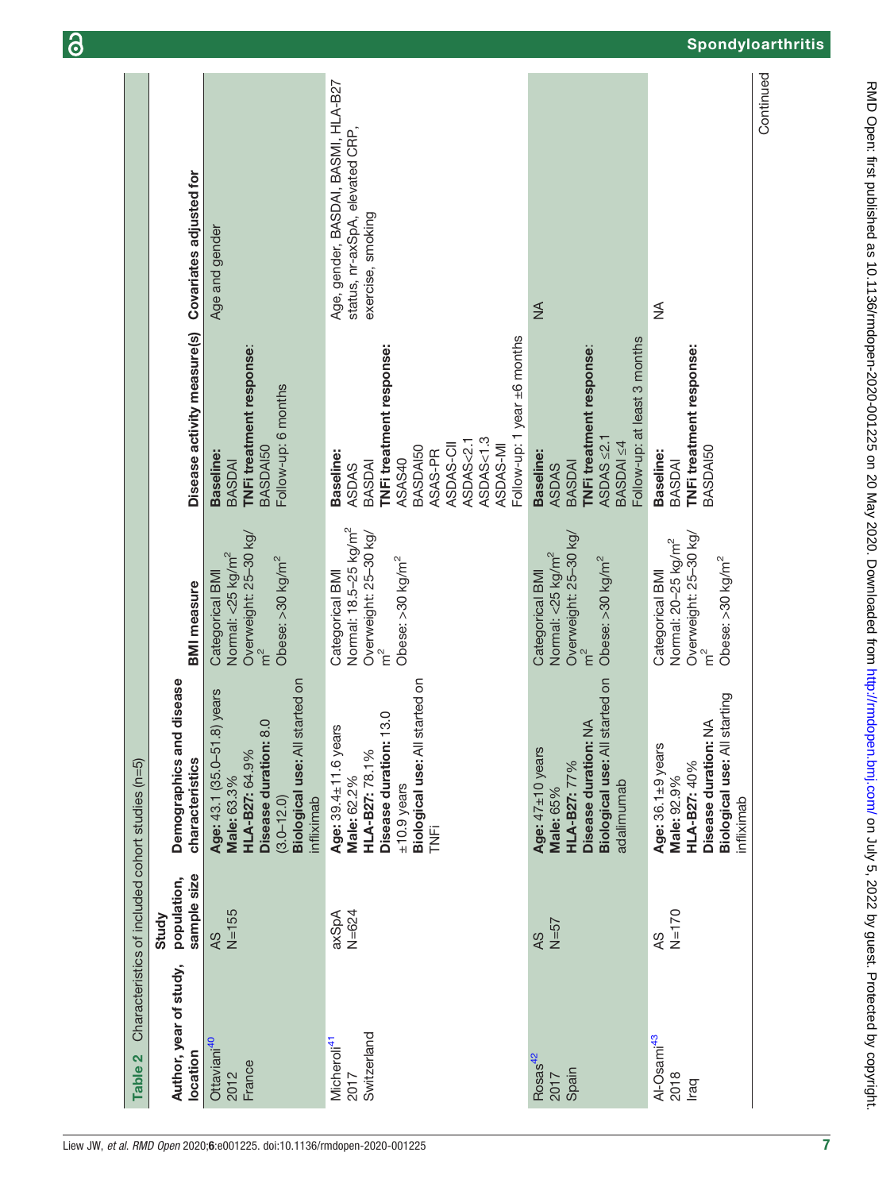| Table <sub>2</sub>                             |                                     | Characteristics of included cohort studies (n=5)                                                                                                               |                                                                                                                           |                                                                                                                                                                                    |                                                                                             |
|------------------------------------------------|-------------------------------------|----------------------------------------------------------------------------------------------------------------------------------------------------------------|---------------------------------------------------------------------------------------------------------------------------|------------------------------------------------------------------------------------------------------------------------------------------------------------------------------------|---------------------------------------------------------------------------------------------|
| Author, year of study,<br>location             | sample size<br>population,<br>Study | Demographics and disease<br>characteristics                                                                                                                    | <b>BMI</b> measure                                                                                                        | Disease activity measure(s)                                                                                                                                                        | Covariates adjusted for                                                                     |
| Ottaviani <sup>40</sup><br>France<br>2012      | $N = 155$<br>4S                     | Biological use: All started on<br>.8) years<br>8.0<br>Age: 43.1 (35.0-51<br>Disease duration:<br>HLA-B27: 64.9%<br>Male: 63.3%<br>$(3.0 - 12.0)$<br>infliximab | Overweight: 25-30 kg/<br>Normal: <25 kg/m <sup>2</sup><br>Obese: >30 kg/m <sup>2</sup><br>Categorical BMI<br>$\tilde{E}$  | TNFi treatment response:<br>Follow-up: 6 months<br><b>BASDAI50</b><br>Baseline:<br>BASDAI                                                                                          | Age and gender                                                                              |
| Switzerland<br>Micheroli <sup>41</sup><br>2017 | $N = 624$<br>axSpA                  | started on<br>13.0<br>Age: 39.4±11.6 years<br>Biological use: All<br>Disease duration:<br>HLA-B27: 78.1%<br>Male: 62.2%<br>$±10.9$ years<br><b>FINE</b>        | Normal: 18.5-25 kg/m <sup>2</sup><br>Overweight: 25-30 kg/<br>Obese: $>30$ kg/m <sup>2</sup><br>Categorical BMI<br>n<br>E | Follow-up: 1 year ±6 months<br>TNFi treatment response:<br>ASDAS<1.3<br>ASDAS<2.1<br>ASDAS-CII<br>ASDAS-MI<br>BASDAI50<br>Baseline:<br>ASAS-PR<br>ASAS40<br>BASDAI<br><b>ASDAS</b> | Age, gender, BASDAI, BASMI, HLA-B27<br>status, nr-axSpA, elevated CRP,<br>exercise, smoking |
| Rosas <sup>42</sup><br>Spain<br>2017           | $N=57$<br>AS                        | Biological use: All started on<br>$\frac{4}{2}$<br>Disease duration:<br>Age: 47±10 years<br>HLA-B27: 77%<br>adalimumab<br>Male: 65%                            | Overweight: 25-30 kg/<br>Normal: <25 kg/m <sup>2</sup><br>Obese: >30 kg/m <sup>2</sup><br>Categorical BMI<br>$\tilde{E}$  | Follow-up: at least 3 months<br>TNFi treatment response:<br>$ASDAS \leq 2.1$<br>BASDAI ≤4<br><b>Baseline:</b><br><b>BASDAI</b><br><b>ASDAS</b>                                     | $\frac{4}{2}$                                                                               |
| Al-Osami <sup>43</sup><br>2018<br>Iraq         | $N = 170$<br>QY                     | starting<br>$\frac{1}{2}$<br>Disease duration:<br>Age: 36.1±9 years<br>Biological use: All<br>HLA-B27: 40%<br>Male: 92.9%<br>infliximab                        | Overweight: 25-30 kg/<br>Normal: 20-25 kg/m <sup>2</sup><br>Obese: $>$ 30 kg/m <sup>2</sup><br>Categorical BMI<br>$E^2$   | TNFi treatment response:<br>BASDAI50<br>Baseline:<br>BASDAI                                                                                                                        | ≸                                                                                           |
|                                                |                                     |                                                                                                                                                                |                                                                                                                           |                                                                                                                                                                                    | Continued                                                                                   |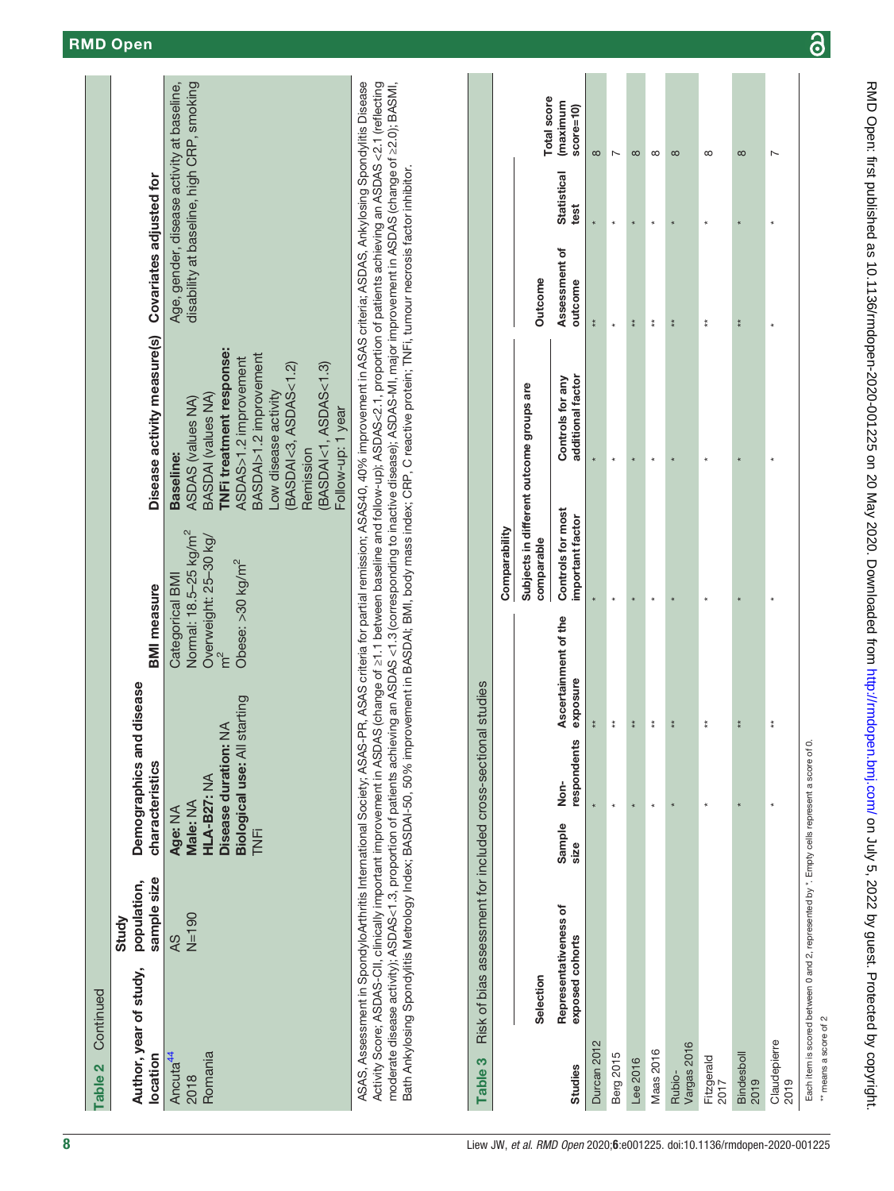| Table 2 Continued                              |                      |                                                                                                                                                                           |                                                                                                               |                                                                                                                                                                                                                                                 |                                                                                                                                                                                                                                                                                                                                                                                                                                                                                                                                                                               |
|------------------------------------------------|----------------------|---------------------------------------------------------------------------------------------------------------------------------------------------------------------------|---------------------------------------------------------------------------------------------------------------|-------------------------------------------------------------------------------------------------------------------------------------------------------------------------------------------------------------------------------------------------|-------------------------------------------------------------------------------------------------------------------------------------------------------------------------------------------------------------------------------------------------------------------------------------------------------------------------------------------------------------------------------------------------------------------------------------------------------------------------------------------------------------------------------------------------------------------------------|
| Author, year of study, population,<br>location | sample size<br>Study | Demographics and disease<br>characteristics                                                                                                                               | <b>BMI</b> measure                                                                                            | Disease activity measure(s) Covariates adjusted for                                                                                                                                                                                             |                                                                                                                                                                                                                                                                                                                                                                                                                                                                                                                                                                               |
| Romania<br>Ancuta <sup>44</sup><br>2018        | $N=190$<br>AS        | Biological use: All starting<br>Disease duration: NA<br>HLA-B27: NA<br>Male: NA<br>Age: NA<br>i<br>K                                                                      | Normal: 18.5-25 kg/m <sup>2</sup><br>Overweight: 25–30 kg/<br>Obese: >30 kg/m <sup>2</sup><br>Categorical BMI | TNFi treatment response:<br>BASDAI>1.2 improvement<br>ASDAS>1.2 improvement<br>(BASDAI<1, ASDAS<1.3)<br>(BASDAI<3, ASDAS<1.2)<br>Low disease activity<br>BASDAI (values NA)<br>ASDAS (values NA)<br>Follow-up: 1 year<br>Remission<br>Baseline: | disability at baseline, high CRP, smoking<br>Age, gender, disease activity at baseline,                                                                                                                                                                                                                                                                                                                                                                                                                                                                                       |
|                                                |                      | Bath Ankylosing Spondylitis Metrology Index; BASDAl-50, 50% improvement in BASDAI; BMI, body mass index; CRP, C reactive protein; TNFi, tumour necrosis factor inhibitor. |                                                                                                               |                                                                                                                                                                                                                                                 | ASAS, Assessment in SpondyloArthritis International Society; ASAS referia for the ria for partial remission; ASAS40, 40% improvement in ASAS criteria; ASDAS, Ankylosing Spondylitis Disease<br>Activity Score; ASDAS-CII, clinically improvement in ASDAS (change of 21.1 between baseline and follow-up); ASDAS<2.1, proportion of patients achieving an ASDAS <2.1 (reflecting<br>moderate disease activity); ASDAS<1.3, proportion of patients achieving an ASDAS <1.3 (corresponding to inactive disease); ASDAS-MI, major improvement in ASDAS (change of 22.0); BASMI, |

<span id="page-7-0"></span>

|                       | Table 3 Risk of bias assessment for included cross-sectional studies |                                 |                     |                                  |                                                        |                                       |                          |                              |             |
|-----------------------|----------------------------------------------------------------------|---------------------------------|---------------------|----------------------------------|--------------------------------------------------------|---------------------------------------|--------------------------|------------------------------|-------------|
|                       |                                                                      |                                 |                     |                                  | Comparability                                          |                                       |                          |                              |             |
|                       | Selection                                                            |                                 |                     |                                  | Subjects in different outcome groups are<br>comparable |                                       | Outcome                  |                              | Total score |
| <b>Studies</b>        | Representativeness of<br>exposed cohorts                             | Sample<br>size                  | respondents<br>Non- | Ascertainment of the<br>exposure | Controls for most<br>important factor                  | additional factor<br>Controls for any | Assessment of<br>outcome | Statistical (maximum<br>test | $score=10$  |
| Durcan 2012           |                                                                      |                                 |                     | $*$                              |                                                        |                                       | $*$                      |                              | $\infty$    |
| Berg 2015             |                                                                      |                                 | $\star$             | $\stackrel{*}{*}$                |                                                        |                                       |                          |                              |             |
| Lee 2016              |                                                                      |                                 | $\star$             | $*$                              |                                                        |                                       | $*$                      |                              | $\infty$    |
| Maas 2016             |                                                                      |                                 | $\star$             | $\stackrel{*}{*}$                |                                                        |                                       | $\frac{*}{*}$            |                              | $\infty$    |
| Vargas 2016<br>Rubio- |                                                                      |                                 |                     | $*$                              |                                                        |                                       | $*$                      |                              | $\infty$    |
| Fitzgerald<br>2017    |                                                                      |                                 |                     | $\stackrel{*}{*}$                |                                                        |                                       | $\frac{*}{*}$            |                              | $\infty$    |
| Bindesboll<br>2019    |                                                                      |                                 |                     | $*$                              |                                                        |                                       | $\frac{*}{*}$            |                              | $\infty$    |
| Claudepierre<br>2019  |                                                                      |                                 |                     | $\frac{*}{*}$                    |                                                        |                                       |                          |                              |             |
|                       |                                                                      | 医心理性 医皮肤病 医血管性血管 医心理学 医心理学 医心理学 |                     |                                  |                                                        |                                       |                          |                              |             |

 $\mathcal{L}_{\mathcal{A}}$ 

Each item is scored between 0 and 2, represented by \*. Empty cells represent a score of 0. Each item is scored between 0 and 2, represented by \*. Empty cells represent a score of 0.

\*\* means a score of 2 \*\* means a score of 2

 $\overline{\partial}$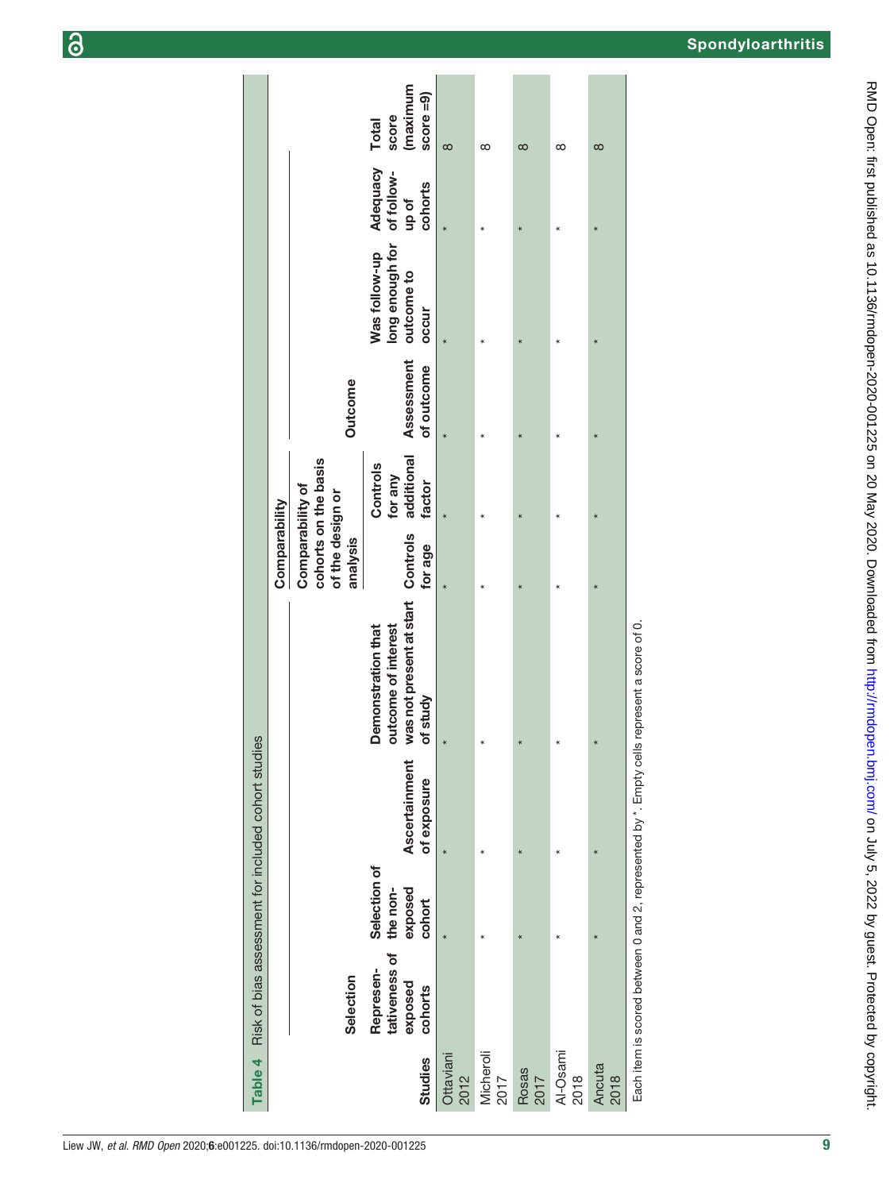|                          |                                                  |                                               |                                     |                                                                                            | Comparability                                                            |                                             |                          |                                                         |                                            |                                                   |
|--------------------------|--------------------------------------------------|-----------------------------------------------|-------------------------------------|--------------------------------------------------------------------------------------------|--------------------------------------------------------------------------|---------------------------------------------|--------------------------|---------------------------------------------------------|--------------------------------------------|---------------------------------------------------|
|                          | Selection                                        |                                               |                                     |                                                                                            | cohorts on the basis<br>Comparability of<br>of the design or<br>analysis |                                             | <b>Outcome</b>           |                                                         |                                            |                                                   |
| Studies                  | tativeness of<br>Represen-<br>exposed<br>cohorts | Selection of<br>exposed<br>the non-<br>cohort | <b>Ascertainment</b><br>of exposure | was not present at start Controls<br>outcome of interest<br>Demonstration that<br>of study | for age                                                                  | additional<br>Controls<br>for any<br>factor | Assessment<br>of outcome | long enough for<br>Was follow-up<br>outcome to<br>occur | Adequacy<br>of follow-<br>cohorts<br>up of | (maximum<br>score $=9$ )<br>score<br><b>Total</b> |
| <b>Ottaviani</b><br>2012 |                                                  |                                               |                                     | $\star$                                                                                    |                                                                          |                                             |                          |                                                         |                                            | $\infty$                                          |
| Micheroli<br>2017        |                                                  |                                               | $\star$                             | $\star$                                                                                    |                                                                          |                                             | ∗                        |                                                         | ∗                                          | ∞                                                 |
| Rosas<br>2017            |                                                  |                                               |                                     |                                                                                            |                                                                          |                                             |                          |                                                         |                                            | $\infty$                                          |
| Al-Osami<br>2018         |                                                  |                                               |                                     | $\ast$                                                                                     |                                                                          |                                             |                          |                                                         |                                            | ∞                                                 |
| Ancuta<br>2018           |                                                  |                                               |                                     |                                                                                            |                                                                          |                                             |                          |                                                         |                                            | $\infty$                                          |
|                          |                                                  |                                               |                                     | Each item is scored between 0 and 2, represented by *. Empty cells represent a score of 0. |                                                                          |                                             |                          |                                                         |                                            |                                                   |

Table 4

Table 4 Risk of bias assessment for included cohort studies

Risk of bias assessment for included cohort studies

9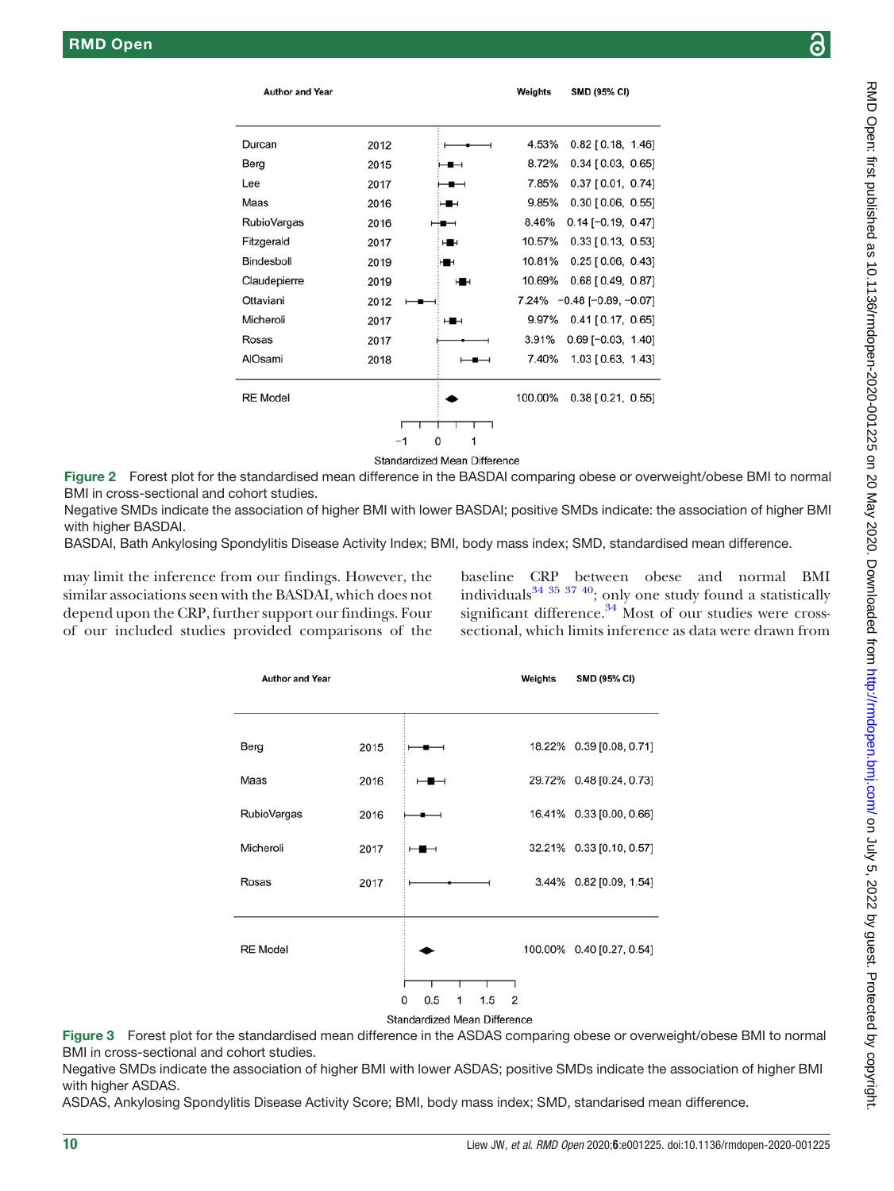<span id="page-9-0"></span>

| <b>Author and Year</b> |      |                | Weights | <b>SMD (95% CI)</b>          |
|------------------------|------|----------------|---------|------------------------------|
|                        |      |                |         |                              |
| Durcan                 | 2012 |                | 4.53%   | $0.82$ [ 0.18, 1.46]         |
| Berg                   | 2015 | −              | 8.72%   | $0.34$ [ 0.03, 0.65]         |
| Lee                    | 2017 | ╼              | 7.85%   | $0.37$ [0.01, 0.74]          |
| Maas                   | 2016 | ⊶              | 9.85%   | $0.30$ [ $0.06$ , $0.55$ ]   |
| <b>RubioVargas</b>     | 2016 |                | 8.46%   | $0.14$ [-0.19, 0.47]         |
| Fitzgerald             | 2017 | HH             | 10.57%  | $0.33$ [ $0.13$ , $0.53$ ]   |
| Bindesboll             | 2019 | H <sub>1</sub> | 10.81%  | $0.25$ [ 0.06, 0.43]         |
| Claudepierre           | 2019 | н              | 10.69%  | $0.68$ [ $0.49, 0.87$ ]      |
| Ottaviani              | 2012 |                |         | $7.24\% -0.48[-0.89, -0.07]$ |
| Micheroli              | 2017 | ⊶              | 9.97%   | $0.41$ [0.17, 0.65]          |
| Rosas                  | 2017 |                | 3.91%   | $0.69$ [-0.03, 1.40]         |
| AlOsami                | 2018 |                | 7.40%   | 1.03 [0.63, 1.43]            |
| <b>RE</b> Model        |      |                | 100.00% | $0.38$ [ $0.21$ , $0.55$ ]   |
|                        |      |                |         |                              |
|                        |      | 0<br>1         |         |                              |

**Standardized Mean Difference** 

Figure 2 Forest plot for the standardised mean difference in the BASDAI comparing obese or overweight/obese BMI to normal BMI in cross-sectional and cohort studies.

Negative SMDs indicate the association of higher BMI with lower BASDAI; positive SMDs indicate: the association of higher BMI with higher BASDAI.

BASDAI, Bath Ankylosing Spondylitis Disease Activity Index; BMI, body mass index; SMD, standardised mean difference.

<span id="page-9-1"></span>may limit the inference from our findings. However, the similar associations seen with the BASDAI, which does not depend upon the CRP, further support our findings. Four of our included studies provided comparisons of the

baseline CRP between obese and normal BMI individuals $34 \frac{35 \frac{37}{40}}{2}$ ; only one study found a statistically significant difference. $34 \text{ Most of our studies were cross-}$ sectional, which limits inference as data were drawn from



Figure 3 Forest plot for the standardised mean difference in the ASDAS comparing obese or overweight/obese BMI to normal BMI in cross-sectional and cohort studies.

Negative SMDs indicate the association of higher BMI with lower ASDAS; positive SMDs indicate the association of higher BMI with higher ASDAS.

ASDAS, Ankylosing Spondylitis Disease Activity Score; BMI, body mass index; SMD, standarised mean difference.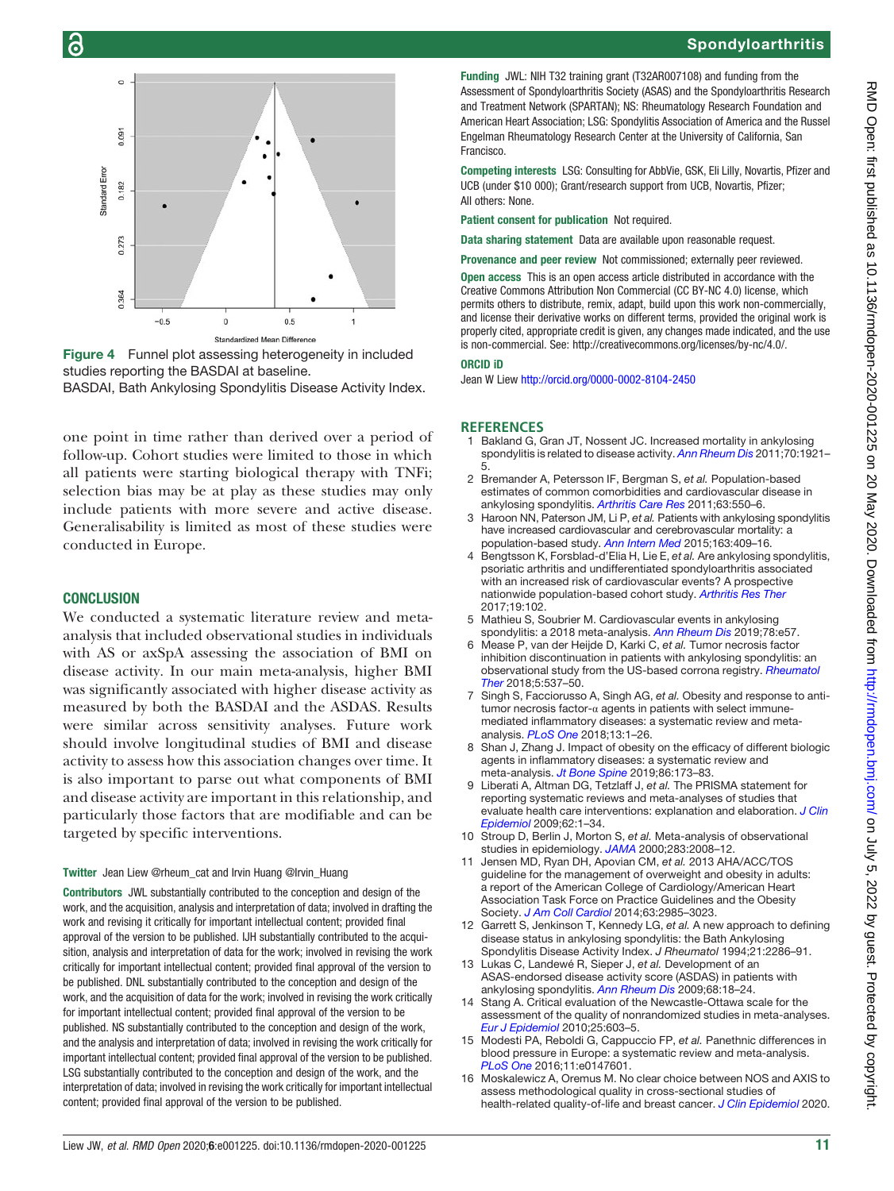

<span id="page-10-10"></span>

Figure 4 Funnel plot assessing heterogeneity in included studies reporting the BASDAI at baseline.

BASDAI, Bath Ankylosing Spondylitis Disease Activity Index.

one point in time rather than derived over a period of follow-up. Cohort studies were limited to those in which all patients were starting biological therapy with TNFi; selection bias may be at play as these studies may only include patients with more severe and active disease. Generalisability is limited as most of these studies were conducted in Europe.

## **CONCLUSION**

We conducted a systematic literature review and metaanalysis that included observational studies in individuals with AS or axSpA assessing the association of BMI on disease activity. In our main meta-analysis, higher BMI was significantly associated with higher disease activity as measured by both the BASDAI and the ASDAS. Results were similar across sensitivity analyses. Future work should involve longitudinal studies of BMI and disease activity to assess how this association changes over time. It is also important to parse out what components of BMI and disease activity are important in this relationship, and particularly those factors that are modifiable and can be targeted by specific interventions.

#### Twitter Jean [Liew @rheum\\_cat](https://twitter.com/rheum_cat) and [Irvin Huang @Irvin\\_Huang](https://twitter.com/Irvin_Huang)

Contributors JWL substantially contributed to the conception and design of the work, and the acquisition, analysis and interpretation of data; involved in drafting the work and revising it critically for important intellectual content; provided final approval of the version to be published. IJH substantially contributed to the acquisition, analysis and interpretation of data for the work; involved in revising the work critically for important intellectual content; provided final approval of the version to be published. DNL substantially contributed to the conception and design of the work, and the acquisition of data for the work; involved in revising the work critically for important intellectual content; provided final approval of the version to be published. NS substantially contributed to the conception and design of the work, and the analysis and interpretation of data; involved in revising the work critically for important intellectual content; provided final approval of the version to be published. LSG substantially contributed to the conception and design of the work, and the interpretation of data; involved in revising the work critically for important intellectual content; provided final approval of the version to be published.

Funding JWL: NIH T32 training grant (T32AR007108) and funding from the Assessment of Spondyloarthritis Society (ASAS) and the Spondyloarthritis Research and Treatment Network (SPARTAN); NS: Rheumatology Research Foundation and American Heart Association; LSG: Spondylitis Association of America and the Russel Engelman Rheumatology Research Center at the University of California, San Francisco.

Competing interests LSG: Consulting for AbbVie, GSK, Eli Lilly, Novartis, Pfizer and UCB (under \$10 000); Grant/research support from UCB, Novartis, Pfizer; All others: None.

Patient consent for publication Not required.

Data sharing statement Data are available upon reasonable request.

Provenance and peer review Not commissioned; externally peer reviewed.

Open access This is an open access article distributed in accordance with the Creative Commons Attribution Non Commercial (CC BY-NC 4.0) license, which permits others to distribute, remix, adapt, build upon this work non-commercially, and license their derivative works on different terms, provided the original work is properly cited, appropriate credit is given, any changes made indicated, and the use is non-commercial. See: [http://creativecommons.org/licenses/by-nc/4.0/.](http://creativecommons.org/licenses/by-nc/4.0/)

#### ORCID iD

Jean W Liew <http://orcid.org/0000-0002-8104-2450>

#### **REFERENCES**

- <span id="page-10-0"></span>1 Bakland G, Gran JT, Nossent JC. Increased mortality in ankylosing spondylitis is related to disease activity. [Ann Rheum Dis](https://dx.doi.org/10.1136/ard.2011.151191) 2011;70:1921-5.
- 2 Bremander A, Petersson IF, Bergman S, et al. Population-based estimates of common comorbidities and cardiovascular disease in ankylosing spondylitis. [Arthritis Care Res](https://dx.doi.org/10.1002/acr.20408) 2011:63:550-6.
- 3 Haroon NN, Paterson JM, Li P, et al. Patients with ankylosing spondylitis have increased cardiovascular and cerebrovascular mortality: a population-based study. [Ann Intern Med](https://dx.doi.org/10.7326/M14-2470) 2015;163:409–16.
- 4 Bengtsson K, Forsblad-d'Elia H, Lie E, et al. Are ankylosing spondylitis, psoriatic arthritis and undifferentiated spondyloarthritis associated with an increased risk of cardiovascular events? A prospective nationwide population-based cohort study. [Arthritis Res Ther](https://dx.doi.org/10.1186/s13075-017-1315-z) 2017;19:102.
- <span id="page-10-1"></span>5 Mathieu S, Soubrier M. Cardiovascular events in ankylosing spondylitis: a 2018 meta-analysis. [Ann Rheum Dis](https://dx.doi.org/10.1136/annrheumdis-2018-213317) 2019;78:e57.
- <span id="page-10-2"></span>6 Mease P, van der Heijde D, Karki C, et al. Tumor necrosis factor inhibition discontinuation in patients with ankylosing spondylitis: an observational study from the US-based corrona registry. [Rheumatol](https://dx.doi.org/10.1007/s40744-018-0129-z) [Ther](https://dx.doi.org/10.1007/s40744-018-0129-z) 2018;5:537–50.
- <span id="page-10-3"></span>7 Singh S, Facciorusso A, Singh AG, et al. Obesity and response to antitumor necrosis factor-α agents in patients with select immunemediated inflammatory diseases: a systematic review and metaanalysis. [PLoS One](https://dx.doi.org/10.1371/journal.pone.0195123) 2018;13:1–26.
- <span id="page-10-11"></span>8 Shan J, Zhang J. Impact of obesity on the efficacy of different biologic agents in inflammatory diseases: a systematic review and meta-analysis. [Jt Bone Spine](https://dx.doi.org/10.1016/j.jbspin.2018.03.007) 2019;86:173-83.
- <span id="page-10-4"></span>9 Liberati A, Altman DG, Tetzlaff J, et al. The PRISMA statement for reporting systematic reviews and meta-analyses of studies that evaluate health care interventions: explanation and elaboration. [J Clin](https://dx.doi.org/10.1016/j.jclinepi.2009.06.006) [Epidemiol](https://dx.doi.org/10.1016/j.jclinepi.2009.06.006) 2009;62:1–34.
- 10 Stroup D, Berlin J, Morton S, et al. Meta-analysis of observational studies in epidemiology. [JAMA](https://dx.doi.org/10.1001/jama.283.15.2008) 2000;283:2008–12.
- <span id="page-10-5"></span>11 Jensen MD, Ryan DH, Apovian CM, et al. 2013 AHA/ACC/TOS guideline for the management of overweight and obesity in adults: a report of the American College of Cardiology/American Heart Association Task Force on Practice Guidelines and the Obesity Society. [J Am Coll Cardiol](https://dx.doi.org/10.1016/j.jacc.2013.11.004) 2014;63:2985–3023.
- <span id="page-10-6"></span>12 Garrett S, Jenkinson T, Kennedy LG, et al. A new approach to defining disease status in ankylosing spondylitis: the Bath Ankylosing Spondylitis Disease Activity Index. J Rheumatol 1994;21:2286–91.
- <span id="page-10-7"></span>13 Lukas C, Landewé R, Sieper J, et al. Development of an ASAS-endorsed disease activity score (ASDAS) in patients with ankylosing spondylitis. [Ann Rheum Dis](https://dx.doi.org/10.1136/ard.2008.094870) 2009;68:18–24.
- <span id="page-10-8"></span>14 Stang A. Critical evaluation of the Newcastle-Ottawa scale for the assessment of the quality of nonrandomized studies in meta-analyses. [Eur J Epidemiol](https://dx.doi.org/10.1007/s10654-010-9491-z) 2010;25:603–5.
- <span id="page-10-9"></span>15 Modesti PA, Reboldi G, Cappuccio FP, et al. Panethnic differences in blood pressure in Europe: a systematic review and meta-analysis. [PLoS One](https://dx.doi.org/10.1371/journal.pone.0147601) 2016;11:e0147601.
- 16 Moskalewicz A, Oremus M. No clear choice between NOS and AXIS to assess methodological quality in cross-sectional studies of health-related quality-of-life and breast cancer. [J Clin Epidemiol](https://dx.doi.org/10.1016/j.jclinepi.2019.12.01) 2020.